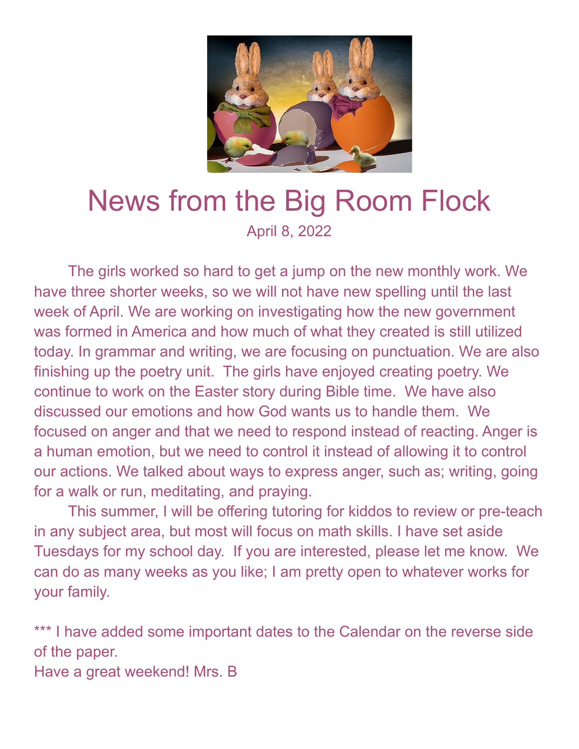

## News from the Big Room Flock April 8, 2022

The girls worked so hard to get a jump on the new monthly work. We have three shorter weeks, so we will not have new spelling until the last week of April. We are working on investigating how the new government was formed in America and how much of what they created is still utilized today. In grammar and writing, we are focusing on punctuation. We are also finishing up the poetry unit. The girls have enjoyed creating poetry. We continue to work on the Easter story during Bible time. We have also discussed our emotions and how God wants us to handle them. We focused on anger and that we need to respond instead of reacting. Anger is a human emotion, but we need to control it instead of allowing it to control our actions. We talked about ways to express anger, such as; writing, going for a walk or run, meditating, and praying.

This summer, I will be offering tutoring for kiddos to review or pre-teach in any subject area, but most will focus on math skills. I have set aside Tuesdays for my school day. If you are interested, please let me know. We can do as many weeks as you like; I am pretty open to whatever works for your family.

\*\*\* I have added some important dates to the Calendar on the reverse side of the paper. Have a great weekend! Mrs. B